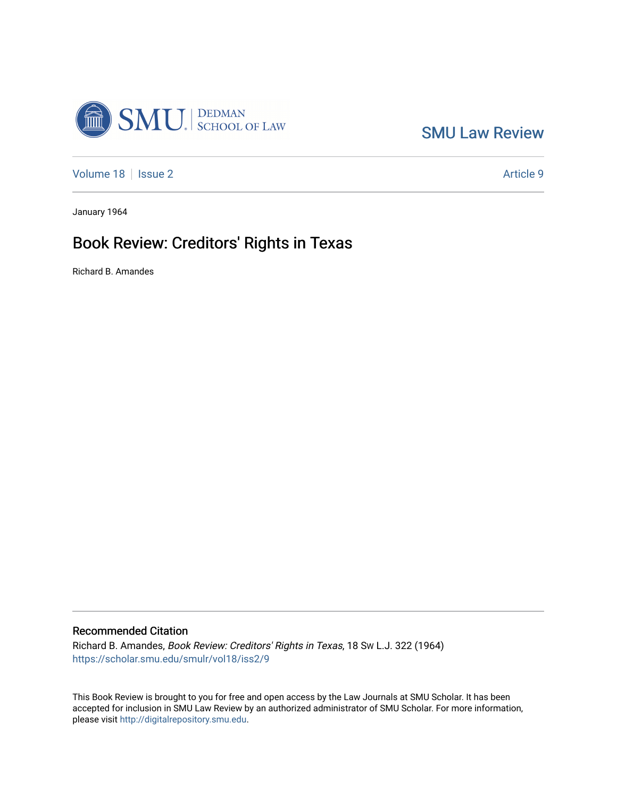

[SMU Law Review](https://scholar.smu.edu/smulr) 

[Volume 18](https://scholar.smu.edu/smulr/vol18) | [Issue 2](https://scholar.smu.edu/smulr/vol18/iss2) Article 9

January 1964

## Book Review: Creditors' Rights in Texas

Richard B. Amandes

#### Recommended Citation

Richard B. Amandes, Book Review: Creditors' Rights in Texas, 18 SW L.J. 322 (1964) [https://scholar.smu.edu/smulr/vol18/iss2/9](https://scholar.smu.edu/smulr/vol18/iss2/9?utm_source=scholar.smu.edu%2Fsmulr%2Fvol18%2Fiss2%2F9&utm_medium=PDF&utm_campaign=PDFCoverPages) 

This Book Review is brought to you for free and open access by the Law Journals at SMU Scholar. It has been accepted for inclusion in SMU Law Review by an authorized administrator of SMU Scholar. For more information, please visit [http://digitalrepository.smu.edu.](http://digitalrepository.smu.edu/)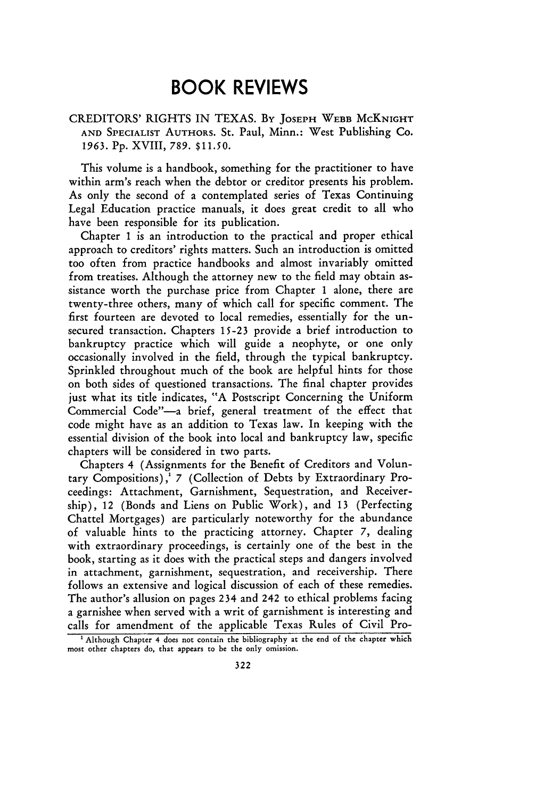### **BOOK REVIEWS**

CREDITORS' RIGHTS IN TEXAS. By **JOSEPH** WEBB McKNIGHT **AND SPECIALIST AUTHORS.** St. Paul, Minn.: West Publishing Co. *1963.* Pp. XVIII, 789. **\$11.50.**

This volume is a handbook, something for the practitioner to have within arm's reach when the debtor or creditor presents his problem. As only the second of a contemplated series of Texas Continuing Legal Education practice manuals, it does great credit to all who have been responsible for its publication.

Chapter **1** is an introduction to the practical and proper ethical approach to creditors' rights matters. Such an introduction is omitted too often from practice handbooks and almost invariably omitted from treatises. Although the attorney new to the field may obtain assistance worth the purchase price from Chapter **1** alone, there are twenty-three others, many of which call for specific comment. The first fourteen are devoted to local remedies, essentially for the unsecured transaction. Chapters **15-23** provide a brief introduction to bankruptcy practice which will guide a neophyte, or one only occasionally involved in the field, through the typical bankruptcy. Sprinkled throughout much of the book are helpful hints for those on both sides of questioned transactions. The final chapter provides just what its title indicates, "A Postscript Concerning the Uniform Commercial Code"-a brief, general treatment of the effect that code might have as an addition to Texas law. In keeping with the essential division of the book into local and bankruptcy law, specific chapters will be considered in two parts.

Chapters 4 (Assignments for the Benefit of Creditors and Voluntary Compositions),' 7 (Collection of Debts by Extraordinary Proceedings: Attachment, Garnishment, Sequestration, and Receivership), 12 (Bonds and Liens on Public Work), and **13** (Perfecting Chattel Mortgages) are particularly noteworthy for the abundance of valuable hints to the practicing attorney. Chapter 7, dealing with extraordinary proceedings, is certainly one of the best in the book, starting as it does with the practical steps and dangers involved in attachment, garnishment, sequestration, and receivership. There follows an extensive and logical discussion of each of these remedies. The author's allusion on pages 234 and 242 to ethical problems facing a garnishee when served with a writ of garnishment is interesting and calls for amendment of the applicable Texas Rules of Civil Pro-

**<sup>&#</sup>x27;** Although Chapter 4 does not contain the bibliography **at** the **end of** the **chapter which** most other chapters do, that appears to be the only omission.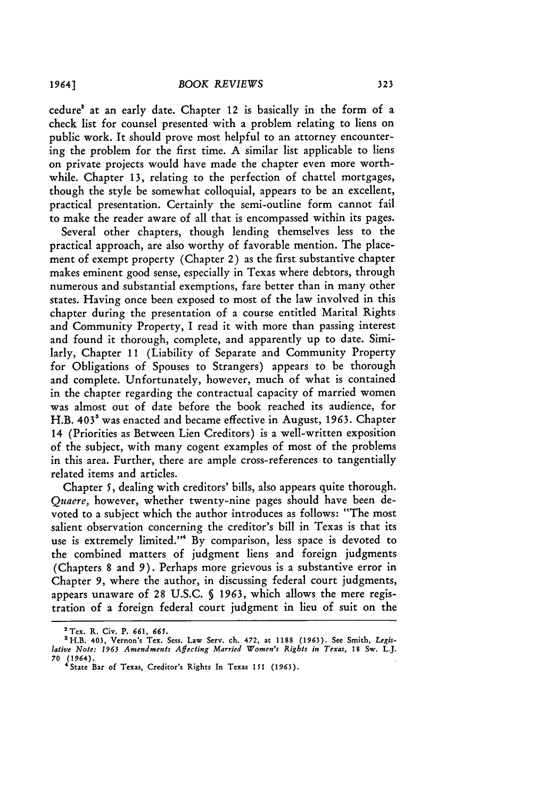cedure' at an early date. Chapter 12 is basically in the form of a check list for counsel presented with a problem relating to liens on public work. It should prove most helpful to an attorney encountering the problem for the first time. A similar list applicable to liens on private projects would have made the chapter even more worthwhile. Chapter **13,** relating to the perfection of chattel mortgages, though the style be somewhat colloquial, appears to be an excellent, practical presentation. Certainly the semi-outline form cannot fail to make the reader aware of all that is encompassed within its pages.

Several other chapters, though lending themselves less to the practical approach, are also worthy of favorable mention. The placement of exempt property (Chapter 2) as the first substantive chapter makes eminent good sense, especially in Texas where debtors, through numerous and substantial exemptions, fare better than in many other states. Having once been exposed to most of the law involved in this chapter during the presentation of a course entitled Marital Rights and Community Property, I read it with more than passing interest and found it thorough, complete, and apparently up to date. Similarly, Chapter **11** (Liability of Separate and Community Property for Obligations of Spouses to Strangers) appears to be thorough and complete. Unfortunately, however, much of what is contained in the chapter regarding the contractual capacity of married women was almost out of date before the book reached its audience, for H.B. 403' was enacted and became effective in August, 1963. Chapter 14 (Priorities as Between Lien Creditors) is a well-written exposition of the subject, with many cogent examples of most of the problems in this area. Further, there are ample cross-references to tangentially related items and articles.

Chapter 5, dealing with creditors' bills, also appears quite thorough. Quaere, however, whether twenty-nine pages should have been devoted to a subject which the author introduces as follows: "The most salient observation concerning the creditor's bill in Texas is that its use is extremely limited."" By comparison, less space is devoted to the combined matters of judgment liens and foreign judgments (Chapters **8** and 9). Perhaps more grievous is a substantive error in Chapter *9,* where the author, in discussing federal court judgments, appears unaware of **28** U.S.C. **§** 1963, which allows the mere registration of a foreign federal court judgment in lieu of suit on the

**a** Tex. **R. Civ. P.** *661, 665.*

<sup>3</sup>H.B. 403, Vernon's Tex. Sess. Law Serv. **ch.** 472, at **1188 (1963).** See Smith, *Legislative Note: 1963 Amendments Affecting Married Women's Rights in Texas,* **18 Sw.** L.J. *70* **(1964).** 'State Bar **of** Texas, Creditor's Rights In Texas **151 (1963).**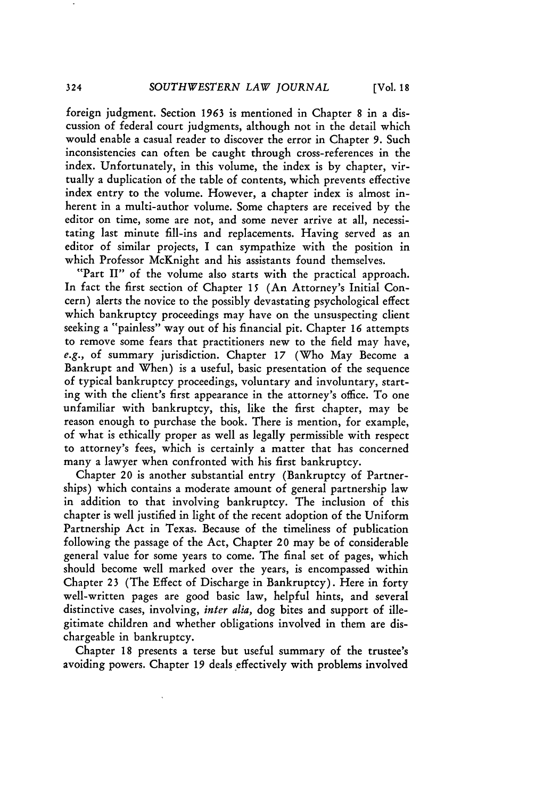foreign judgment. Section 1963 is mentioned in Chapter 8 in a discussion of federal court judgments, although not in the detail which would enable a casual reader to discover the error in Chapter 9. Such inconsistencies can often be caught through cross-references in the index. Unfortunately, in this volume, the index is by chapter, virtually a duplication of the table of contents, which prevents effective index entry to the volume. However, a chapter index is almost inherent in a multi-author volume. Some chapters are received by the editor on time, some are not, and some never arrive at all, necessitating last minute fill-ins and replacements. Having served as an editor of similar projects, I can sympathize with the position in which Professor McKnight and his assistants found themselves.

"Part II" of the volume also starts with the practical approach. In fact the first section of Chapter **15** (An Attorney's Initial Concern) alerts the novice to the possibly devastating psychological effect which bankruptcy proceedings may have on the unsuspecting client seeking a "painless" way out of his financial pit. Chapter 16 attempts to remove some fears that practitioners new to the field may have, *e.g.,* of summary jurisdiction. Chapter 17 (Who May Become a Bankrupt and When) is a useful, basic presentation of the sequence of typical bankruptcy proceedings, voluntary and involuntary, starting with the client's first appearance in the attorney's office. To one unfamiliar with bankruptcy, this, like the first chapter, may be reason enough to purchase the book. There is mention, for example, of what is ethically proper as well as legally permissible with respect to attorney's fees, which is certainly a matter that has concerned many a lawyer when confronted with his first bankruptcy.

Chapter 20 is another substantial entry (Bankruptcy of Partnerships) which contains a moderate amount of general partnership law in addition to that involving bankruptcy. The inclusion of this chapter is well justified in light of the recent adoption of the Uniform Partnership Act in Texas. Because of the timeliness of publication following the passage of the Act, Chapter 20 may be of considerable general value for some years to come. The final set of pages, which should become well marked over the years, is encompassed within Chapter 23 (The Effect of Discharge in Bankruptcy). Here in forty well-written pages are good basic law, helpful hints, and several distinctive cases, involving, *inter alia,* dog bites and support of illegitimate children and whether obligations involved in them are dischargeable in bankruptcy.

Chapter 18 presents a terse but useful summary of the trustee's avoiding powers. Chapter 19 deals effectively with problems involved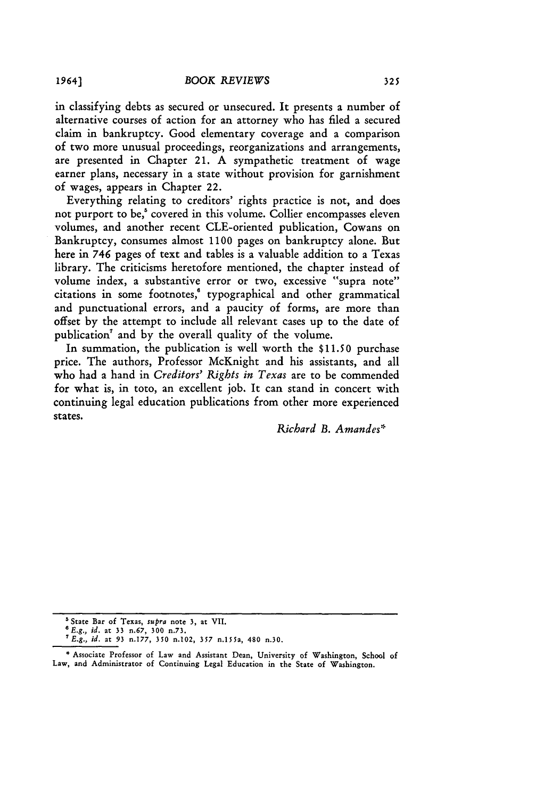in classifying debts as secured or unsecured. It presents a number of alternative courses of action for an attorney who has filed a secured claim in bankruptcy. Good elementary coverage and a comparison of two more unusual proceedings, reorganizations and arrangements, are presented in Chapter 21. A sympathetic treatment of wage earner plans, necessary in a state without provision for garnishment of wages, appears in Chapter 22.

Everything relating to creditors' rights practice is not, and does not purport to be,' covered in this volume. Collier encompasses eleven volumes, and another recent CLE-oriented publication, Cowans on Bankruptcy, consumes almost **1100** pages on bankruptcy alone. But here in 746 pages of text and tables is a valuable addition to a Texas library. The criticisms heretofore mentioned, the chapter instead of volume index, a substantive error or two, excessive "supra note" citations in some footnotes, $\degree$  typographical and other grammatical and punctuational errors, and a paucity of forms, are more than offset by the attempt to include all relevant cases up to the date of publication<sup>7</sup> and by the overall quality of the volume.

In summation, the publication is well worth the **\$11.50** purchase price. The authors, Professor McKnight and his assistants, and all who had a hand in *Creditors' Rights in Texas* are to be commended for what is, in toto, an excellent **job.** It can stand in concert with continuing legal education publications from other more experienced states.

*Richard B. Amandes\**

<sup>&</sup>lt;sup>5</sup> State Bar of Texas, *supra* note 3, at VII.

<sup>0</sup>E.g., *id.* at 33 n.67, **300** n.73.

*<sup>7</sup>E.g., id.* at 93 n.177, **350** n.102, **357** n.l\$Sa, 480 n.30.

**<sup>\*</sup>** Associate Professor of Law and Assistant Dean, University of Washington, School of Law, and Administrator of Continuing Legal Education in the State of Washington.